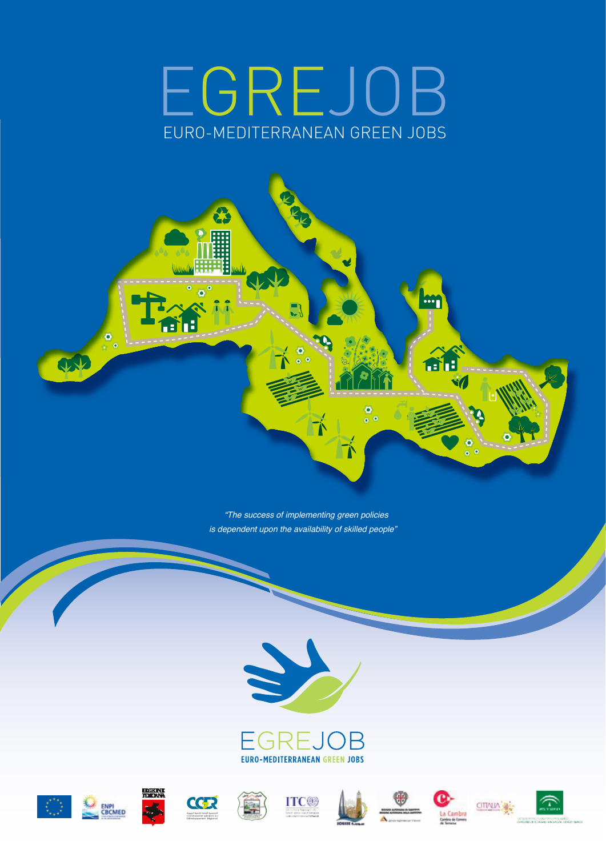## EURO-MEDITERRANEAN GREEN JOBS EGREJOB



 *"The success of implementing green policies is dependent upon the availability of skilled people"*



















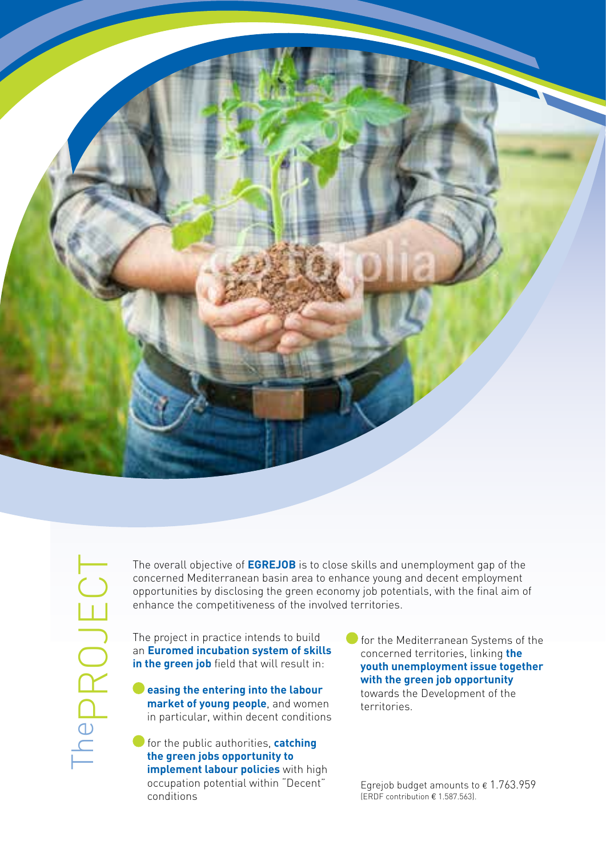

The overall objective of **EGREJOB** is to close skills and unemployment gap of the concerned Mediterranean basin area to enhance young and decent employment opportunities by disclosing the green economy job potentials, with the final aim of enhance the competitiveness of the involved territories.

The project in practice intends to build an **Euromed incubation system of skills**  in the green job field that will result in:

 **easing the entering into the labour market of young people**, and women in particular, within decent conditions

**for the public authorities, catching the green jobs opportunity to implement labour policies** with high occupation potential within "Decent" conditions

 for the Mediterranean Systems of the concerned territories, linking **the youth unemployment issue together with the green job opportunity** towards the Development of the territories.

Egrejob budget amounts to  $\epsilon$  1.763.959 (ERDF contribution € 1.587.563).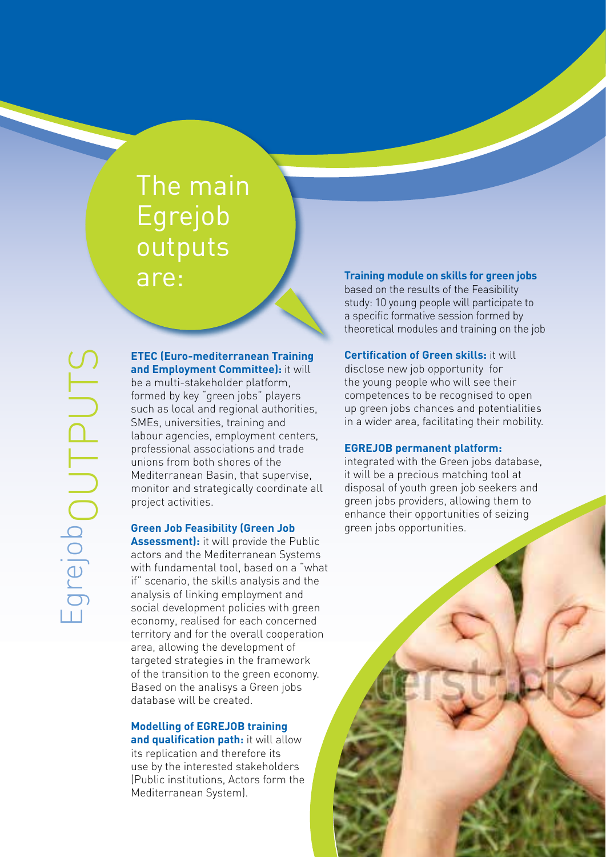### The main Egrejob outputs are:

**ETEC (Euro-mediterranean Training and Employment Committee):** it will be a multi-stakeholder platform, formed by key "green jobs" players such as local and regional authorities, SMEs, universities, training and labour agencies, employment centers, professional associations and trade unions from both shores of the Mediterranean Basin, that supervise, monitor and strategically coordinate all project activities.

### **Green Job Feasibility (Green Job**

**Assessment):** it will provide the Public actors and the Mediterranean Systems with fundamental tool, based on a "what if" scenario, the skills analysis and the analysis of linking employment and social development policies with green economy, realised for each concerned territory and for the overall cooperation area, allowing the development of targeted strategies in the framework of the transition to the green economy. Based on the analisys a Green jobs database will be created.

### **Modelling of EGREJOB training**

**and qualification path:** it will allow its replication and therefore its use by the interested stakeholders (Public institutions, Actors form the Mediterranean System).

### **Training module on skills for green jobs**

based on the results of the Feasibility study: 10 young people will participate to a specific formative session formed by theoretical modules and training on the job

**Certification of Green skills:** it will disclose new job opportunity for the young people who will see their competences to be recognised to open up green jobs chances and potentialities in a wider area, facilitating their mobility.

#### **EGREJOB permanent platform:**

integrated with the Green jobs database, it will be a precious matching tool at disposal of youth green job seekers and green jobs providers, allowing them to enhance their opportunities of seizing green jobs opportunities.